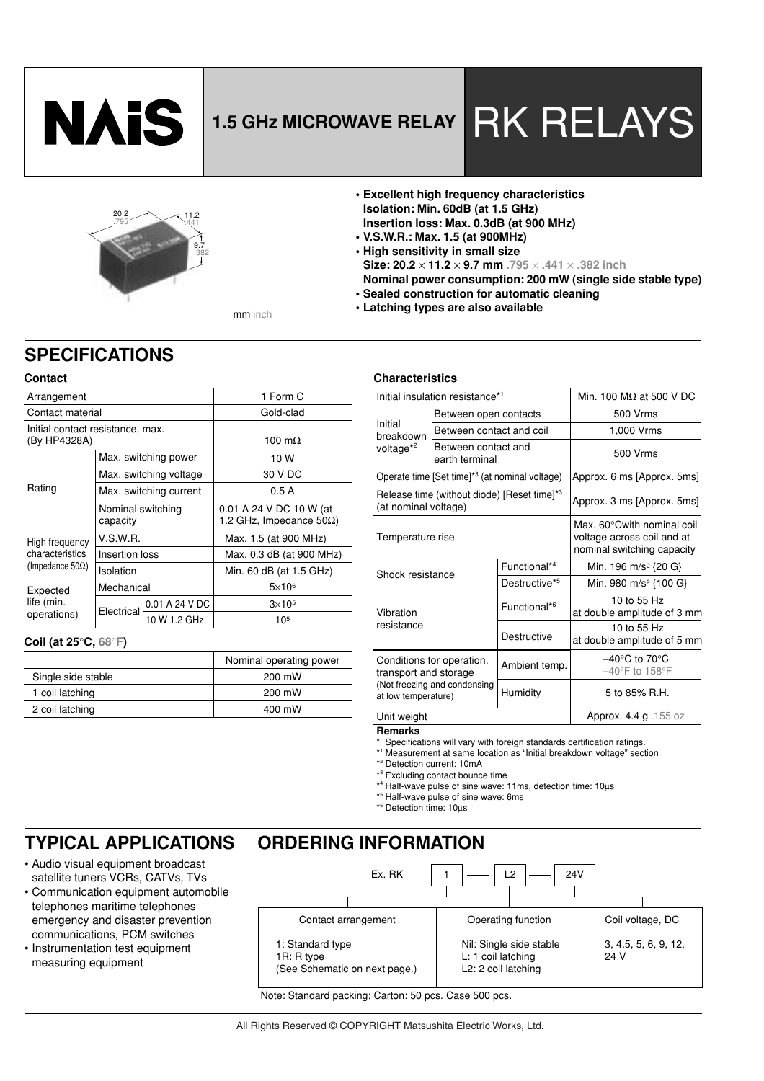

# **1.5 GHz MICROWAVE RELAY RK RELAYS**

### 11.2 .441 9.7 .382 20.2 .795

- **Excellent high frequency characteristics Isolation: Min. 60dB (at 1.5 GHz) Insertion loss: Max. 0.3dB (at 900 MHz)**
- **V.S.W.R.: Max. 1.5 (at 900MHz)**
- **High sensitivity in small size**
- **Size: 20.2** × **11.2** × **9.7 mm .795** × **.441** × **.382 inch Nominal power consumption: 200 mW (single side stable type)**
- **Sealed construction for automatic cleaning • Latching types are also available**

mm inch

#### **Contact**

**SPECIFICATIONS**

| Arrangement                                      |                               | 1 Form C               |                                                            |  |  |
|--------------------------------------------------|-------------------------------|------------------------|------------------------------------------------------------|--|--|
| Contact material                                 |                               |                        | Gold-clad                                                  |  |  |
| Initial contact resistance, max.<br>(By HP4328A) |                               |                        | 100 m $\Omega$                                             |  |  |
|                                                  |                               | Max. switching power   | 10 W                                                       |  |  |
|                                                  |                               | Max. switching voltage | 30 V DC                                                    |  |  |
| Rating                                           |                               | Max. switching current | 0.5A                                                       |  |  |
|                                                  | Nominal switching<br>capacity |                        | 0.01 A 24 V DC 10 W (at<br>1.2 GHz, Impedance $50\Omega$ ) |  |  |
| High frequency                                   | V.S.W.R.                      |                        | Max. 1.5 (at 900 MHz)                                      |  |  |
| characteristics                                  | Insertion loss                |                        | Max. 0.3 dB (at 900 MHz)                                   |  |  |
| (Impedance 50 $\Omega$ )                         | Isolation                     |                        | Min. 60 dB (at 1.5 GHz)                                    |  |  |
| Expected<br>life (min.<br>operations)            | Mechanical                    |                        | $5\times10^6$                                              |  |  |
|                                                  |                               | 0.01 A 24 V DC         | $3\times105$                                               |  |  |
|                                                  | Electrical                    | 10 W 1.2 GHz           | 105                                                        |  |  |
|                                                  |                               |                        |                                                            |  |  |

#### **Coil (at 25**°**C, 68**°**F)**

|                    | Nominal operating power |
|--------------------|-------------------------|
| Single side stable | 200 mW                  |
| 1 coil latching    | 200 mW                  |
| 2 coil latching    | 400 mW                  |

#### **Characteristics**

|                                                    | Initial insulation resistance*1                            | Min. 100 $M\Omega$ at 500 V DC |                                                                                        |  |  |
|----------------------------------------------------|------------------------------------------------------------|--------------------------------|----------------------------------------------------------------------------------------|--|--|
|                                                    | Between open contacts                                      |                                | 500 Vrms                                                                               |  |  |
| Initial<br>breakdown                               | Between contact and coil                                   |                                | 1,000 Vrms                                                                             |  |  |
| voltage* <sup>2</sup>                              | Between contact and<br>earth terminal                      |                                | 500 Vrms                                                                               |  |  |
|                                                    | Operate time [Set time] <sup>*3</sup> (at nominal voltage) |                                | Approx. 6 ms [Approx. 5ms]                                                             |  |  |
| (at nominal voltage)                               | Release time (without diode) [Reset time] <sup>*3</sup>    |                                | Approx. 3 ms [Approx. 5ms]                                                             |  |  |
| Temperature rise                                   |                                                            |                                | Max. 60°Cwith nominal coil<br>voltage across coil and at<br>nominal switching capacity |  |  |
| Shock resistance                                   |                                                            | Functional* <sup>4</sup>       | Min. 196 m/s <sup>2</sup> {20 G}                                                       |  |  |
|                                                    |                                                            | Destructive <sup>*5</sup>      | Min. 980 m/s <sup>2</sup> {100 G}                                                      |  |  |
| Vibration<br>resistance                            |                                                            | Functional* <sup>6</sup>       | 10 to 55 Hz<br>at double amplitude of 3 mm                                             |  |  |
|                                                    |                                                            | Destructive                    | 10 to 55 Hz<br>at double amplitude of 5 mm                                             |  |  |
| Conditions for operation,<br>transport and storage |                                                            | Ambient temp.                  | $-40^{\circ}$ C to 70 $^{\circ}$ C<br>$-40^{\circ}$ F to 158 $^{\circ}$ F              |  |  |
| at low temperature)                                | (Not freezing and condensing                               | Humidity                       | 5 to 85% R.H.                                                                          |  |  |
| Unit weight                                        |                                                            |                                | Approx. 4.4 g . 155 oz                                                                 |  |  |

#### **Remarks**

**ORDERING INFORMATION**

- \* Specifications will vary with foreign standards certification ratings.
- \* 1 Measurement at same location as "Initial breakdown voltage" section

\* 2 Detection current: 10mA

- \* 3 Excluding contact bounce time
- \* 4 Half-wave pulse of sine wave: 11ms, detection time: 10µs
- \* 5 Half-wave pulse of sine wave: 6ms
- \* 6 Detection time: 10µs

## **TYPICAL APPLICATIONS**

- Audio visual equipment broadcast satellite tuners VCRs, CATVs, TVs
- Communication equipment automobile telephones maritime telephones emergency and disaster prevention communications, PCM switches
- Instrumentation test equipment measuring equipment

| Ex. RK                                                          | L2<br>24V                                                            |                              |  |  |
|-----------------------------------------------------------------|----------------------------------------------------------------------|------------------------------|--|--|
| Contact arrangement                                             | Operating function                                                   | Coil voltage, DC             |  |  |
| 1: Standard type<br>1R: R type<br>(See Schematic on next page.) | Nil: Single side stable<br>L: 1 coil latching<br>L2: 2 coil latching | 3, 4.5, 5, 6, 9, 12,<br>24 V |  |  |

Note: Standard packing; Carton: 50 pcs. Case 500 pcs.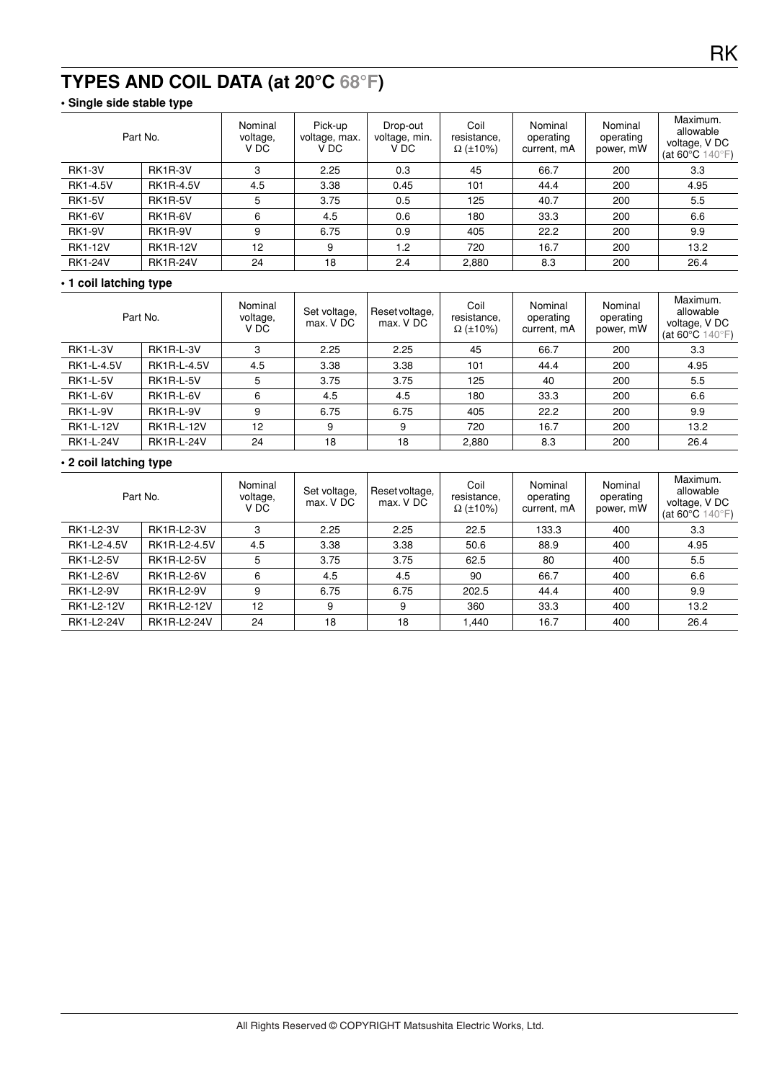# **TYPES AND COIL DATA (at 20°C 68°F)**

### **• Single side stable type**

|                 | Part No.         | Nominal<br>voltage,<br>V DC | Pick-up<br>voltage, max.<br>V DC | Drop-out<br>voltage, min.<br>V DC | Coil<br>resistance.<br>$\Omega$ (±10%) | Nominal<br>operating<br>current, mA | Nominal<br>operating<br>power, mW | Maximum.<br>allowable<br>voltage, V DC<br>(at 60 $\degree$ C 140 $\degree$ F) |
|-----------------|------------------|-----------------------------|----------------------------------|-----------------------------------|----------------------------------------|-------------------------------------|-----------------------------------|-------------------------------------------------------------------------------|
| <b>RK1-3V</b>   | <b>RK1R-3V</b>   | 3                           | 2.25                             | 0.3                               | 45                                     | 66.7                                | 200                               | 3.3                                                                           |
| <b>RK1-4.5V</b> | <b>RK1R-4.5V</b> | 4.5                         | 3.38                             | 0.45                              | 101                                    | 44.4                                | 200                               | 4.95                                                                          |
| <b>RK1-5V</b>   | <b>RK1R-5V</b>   | 5                           | 3.75                             | 0.5                               | 125                                    | 40.7                                | 200                               | 5.5                                                                           |
| <b>RK1-6V</b>   | RK1R-6V          | 6                           | 4.5                              | 0.6                               | 180                                    | 33.3                                | 200                               | 6.6                                                                           |
| <b>RK1-9V</b>   | <b>RK1R-9V</b>   | 9                           | 6.75                             | 0.9                               | 405                                    | 22.2                                | 200                               | 9.9                                                                           |
| <b>RK1-12V</b>  | <b>RK1R-12V</b>  | 12                          | 9                                | 1.2                               | 720                                    | 16.7                                | 200                               | 13.2                                                                          |
| <b>RK1-24V</b>  | <b>RK1R-24V</b>  | 24                          | 18                               | 2.4                               | 2,880                                  | 8.3                                 | 200                               | 26.4                                                                          |

#### **• 1 coil latching type**

|                  | Part No.           | Nominal<br>voltage,<br>V DC | Set voltage,<br>max. V DC | Reset voltage,<br>max. V DC | Coil<br>resistance,<br>$\Omega$ (±10%) | Nominal<br>operating<br>current, mA | Nominal<br>operating<br>power, mW | Maximum.<br>allowable<br>voltage, V DC<br>(at 60 $\degree$ C 140 $\degree$ F) |
|------------------|--------------------|-----------------------------|---------------------------|-----------------------------|----------------------------------------|-------------------------------------|-----------------------------------|-------------------------------------------------------------------------------|
| <b>RK1-L-3V</b>  | <b>RK1R-L-3V</b>   | 3                           | 2.25                      | 2.25                        | 45                                     | 66.7                                | 200                               | 3.3                                                                           |
| RK1-L-4.5V       | <b>RK1R-L-4.5V</b> | 4.5                         | 3.38                      | 3.38                        | 101                                    | 44.4                                | 200                               | 4.95                                                                          |
| <b>RK1-L-5V</b>  | <b>RK1R-L-5V</b>   | 5                           | 3.75                      | 3.75                        | 125                                    | 40                                  | 200                               | 5.5                                                                           |
| <b>RK1-L-6V</b>  | RK1R-L-6V          | 6                           | 4.5                       | 4.5                         | 180                                    | 33.3                                | 200                               | 6.6                                                                           |
| <b>RK1-L-9V</b>  | <b>RK1R-L-9V</b>   | 9                           | 6.75                      | 6.75                        | 405                                    | 22.2                                | 200                               | 9.9                                                                           |
| <b>RK1-L-12V</b> | <b>RK1R-L-12V</b>  | 12                          | 9                         | 9                           | 720                                    | 16.7                                | 200                               | 13.2                                                                          |
| <b>RK1-L-24V</b> | <b>RK1R-L-24V</b>  | 24                          | 18                        | 18                          | 2.880                                  | 8.3                                 | 200                               | 26.4                                                                          |

#### **• 2 coil latching type**

|                  | Part No.           | Nominal<br>voltage,<br>V DC | Set voltage,<br>max. V DC | Reset voltage,<br>max. V DC | Coil<br>resistance,<br>$\Omega$ (±10%) | Nominal<br>operating<br>current, mA | Nominal<br>operating<br>power, mW | Maximum.<br>allowable<br>voltage, V DC<br>(at 60 $\degree$ C 140 $\degree$ F) |
|------------------|--------------------|-----------------------------|---------------------------|-----------------------------|----------------------------------------|-------------------------------------|-----------------------------------|-------------------------------------------------------------------------------|
| <b>RK1-L2-3V</b> | <b>RK1R-L2-3V</b>  | 3                           | 2.25                      | 2.25                        | 22.5                                   | 133.3                               | 400                               | 3.3                                                                           |
| RK1-L2-4.5V      | RK1R-L2-4.5V       | 4.5                         | 3.38                      | 3.38                        | 50.6                                   | 88.9                                | 400                               | 4.95                                                                          |
| <b>RK1-L2-5V</b> | <b>RK1R-L2-5V</b>  | 5                           | 3.75                      | 3.75                        | 62.5                                   | 80                                  | 400                               | 5.5                                                                           |
| <b>RK1-L2-6V</b> | <b>RK1R-L2-6V</b>  | 6                           | 4.5                       | 4.5                         | 90                                     | 66.7                                | 400                               | 6.6                                                                           |
| <b>RK1-L2-9V</b> | <b>RK1R-L2-9V</b>  | 9                           | 6.75                      | 6.75                        | 202.5                                  | 44.4                                | 400                               | 9.9                                                                           |
| RK1-L2-12V       | RK1R-L2-12V        | 12                          | 9                         | 9                           | 360                                    | 33.3                                | 400                               | 13.2                                                                          |
| RK1-L2-24V       | <b>RK1R-L2-24V</b> | 24                          | 18                        | 18                          | 1.440                                  | 16.7                                | 400                               | 26.4                                                                          |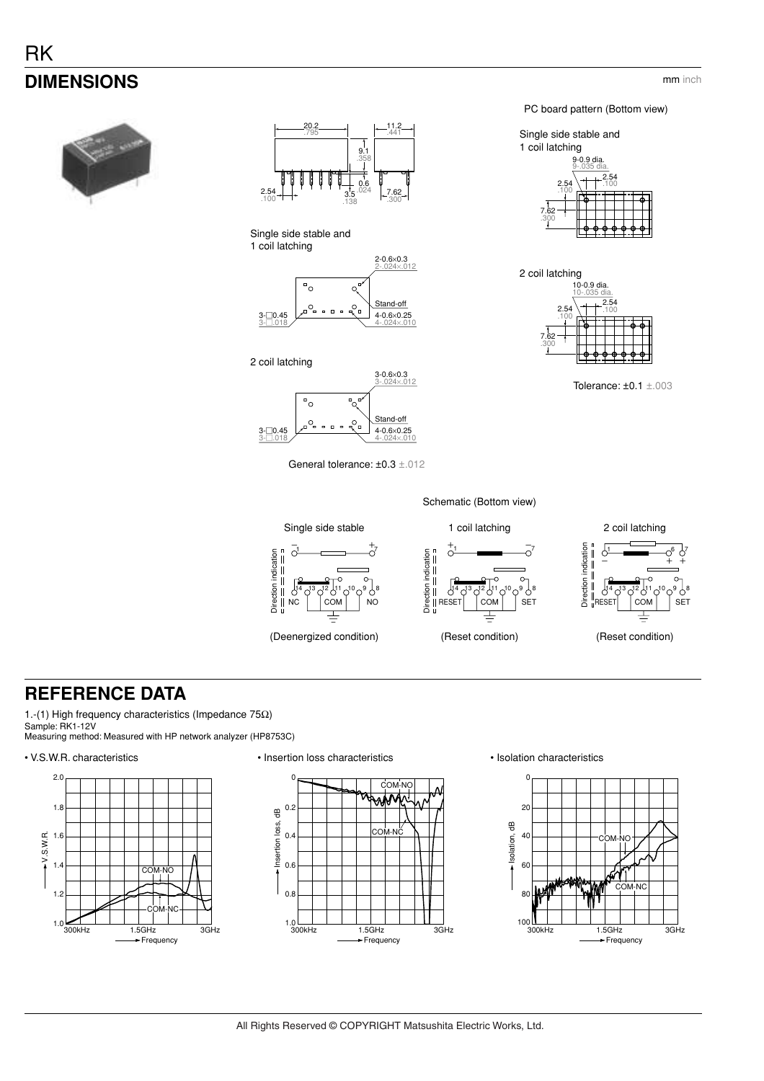# **RK DIMENSIONS**



Single side stable and 1 coil latching



2 coil latching



PC board pattern (Bottom view)





Tolerance: ±0.1 ±.003

General tolerance: ±0.3 ±.012



# **REFERENCE DATA**

1.-(1) High frequency characteristics (Impedance 75Ω) Sample: RK1-12V Measuring method: Measured with HP network analyzer (HP8753C)

#### • V.S.W.R. characteristics • Insertion loss characteristics • Isolation characteristics







All Rights Reserved © COPYRIGHT Matsushita Electric Works, Ltd.

mm inch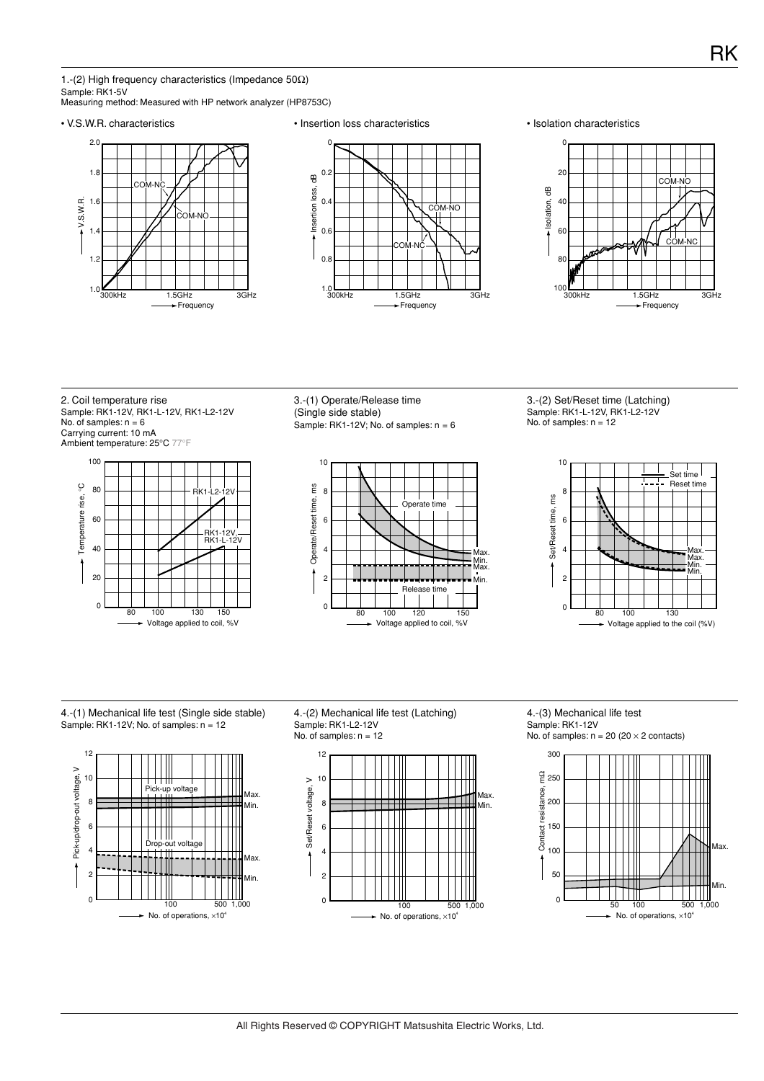1.-(2) High frequency characteristics (Impedance 50Ω)

Sample: RK1-5V Measuring method: Measured with HP network analyzer (HP8753C)







2. Coil temperature rise Sample: RK1-12V, RK1-L-12V, RK1-L2-12V No. of samples:  $n = 6$ Carrying current: 10 mA



3.-(1) Operate/Release time (Single side stable) Sample: RK1-12V; No. of samples:  $n = 6$ 



3.-(2) Set/Reset time (Latching) Sample: RK1-L-12V, RK1-L2-12V No. of samples:  $n = 12$ 



4.-(1) Mechanical life test (Single side stable) Sample: RK1-12V; No. of samples:  $n = 12$ 



4.-(2) Mechanical life test (Latching) Sample: RK1-L2-12V No. of samples:  $n = 12$